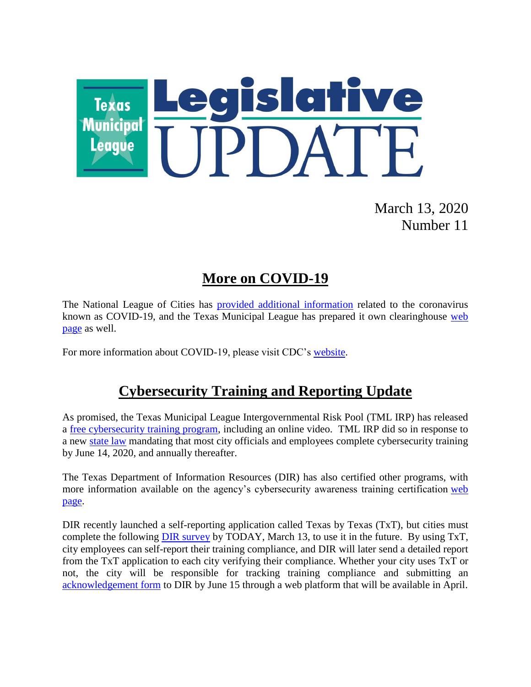

March 13, 2020 Number 11

## **More on COVID-19**

The National League of Cities has [provided additional information](https://citiesspeak.org/2020/03/03/managing-through-the-coronavirus-what-local-leaders-need-to-know/?utm_campaign=editorial-content&utm_medium=email&utm_source=newsletter&utm_content=weekly-030720&utm_term=text-headline-managing-through-the-coronavirus&_zs=rGEPW&_zl=Ot212) related to the coronavirus known as COVID-19, and the Texas Municipal League has prepared it own clearinghouse [web](https://www.tml.org/654/Coronavirus-COVID-19-Resources)  [page](https://www.tml.org/654/Coronavirus-COVID-19-Resources) as well.

For more information about COVID-19, please visit CDC's [website.](https://www.cdc.gov/coronavirus/2019-ncov/index.html)

## **Cybersecurity Training and Reporting Update**

As promised, the Texas Municipal League Intergovernmental Risk Pool (TML IRP) has released a [free cybersecurity training program,](http://info.tmlirp.org/cyber-security-training-program) including an online video. TML IRP did so in response to a new [state law](https://statutes.capitol.texas.gov/Docs/GV/htm/GV.2054.htm#2054.511) mandating that most city officials and employees complete cybersecurity training by June 14, 2020, and annually thereafter.

The Texas Department of Information Resources (DIR) has also certified other programs, with more information available on the agency's cybersecurity awareness training certification [web](https://dir.texas.gov/View-About-DIR/Information-Security/Pages/Content.aspx?id=154)  [page.](https://dir.texas.gov/View-About-DIR/Information-Security/Pages/Content.aspx?id=154)

DIR recently launched a self-reporting application called Texas by Texas (TxT), but cities must complete the following [DIR survey](https://www.surveygizmo.com/s3/5469429/House-Bill-3834-Texas-by-Texas-TxT-Self-Reporting) by TODAY, March 13, to use it in the future. By using TxT, city employees can self-report their training compliance, and DIR will later send a detailed report from the TxT application to each city verifying their compliance. Whether your city uses TxT or not, the city will be responsible for tracking training compliance and submitting an [acknowledgement form](https://pubext.dir.texas.gov/portal/internal/resources/DocumentLibrary/Governing%20Board%20Acknowledgement%202020.docx) to DIR by June 15 through a web platform that will be available in April.